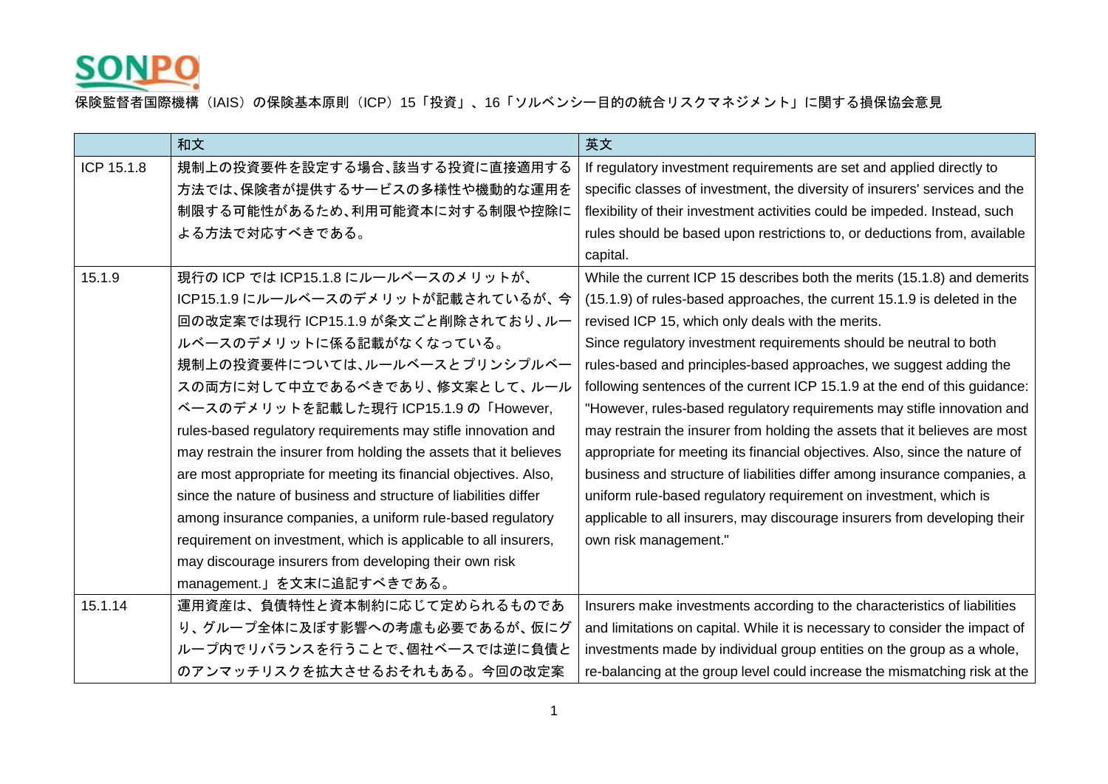

|            | 和文                                                                | 英文                                                                          |
|------------|-------------------------------------------------------------------|-----------------------------------------------------------------------------|
| ICP 15.1.8 | 規制上の投資要件を設定する場合、該当する投資に直接適用する                                     | If regulatory investment requirements are set and applied directly to       |
|            | 方法では、保険者が提供するサービスの多様性や機動的な運用を                                     | specific classes of investment, the diversity of insurers' services and the |
|            | 制限する可能性があるため、利用可能資本に対する制限や控除に                                     | flexibility of their investment activities could be impeded. Instead, such  |
|            | よる方法で対応すべきである。                                                    | rules should be based upon restrictions to, or deductions from, available   |
|            |                                                                   | capital.                                                                    |
| 15.1.9     | 現行の ICP では ICP15.1.8 にルールベースのメリットが、                               | While the current ICP 15 describes both the merits (15.1.8) and demerits    |
|            | ICP15.1.9 にルールベースのデメリットが記載されているが、今                                | (15.1.9) of rules-based approaches, the current 15.1.9 is deleted in the    |
|            | 回の改定案では現行 ICP15.1.9 が条文ごと削除されており、ルー                               | revised ICP 15, which only deals with the merits.                           |
|            | ルベースのデメリットに係る記載がなくなっている。                                          | Since regulatory investment requirements should be neutral to both          |
|            | 規制上の投資要件については、ルールベースとプリンシプルベー                                     | rules-based and principles-based approaches, we suggest adding the          |
|            | スの両方に対して中立であるべきであり、修文案として、ルール                                     | following sentences of the current ICP 15.1.9 at the end of this guidance:  |
|            | ベースのデメリットを記載した現行 ICP15.1.9 の「However,                             | "However, rules-based regulatory requirements may stifle innovation and     |
|            | rules-based regulatory requirements may stifle innovation and     | may restrain the insurer from holding the assets that it believes are most  |
|            | may restrain the insurer from holding the assets that it believes | appropriate for meeting its financial objectives. Also, since the nature of |
|            | are most appropriate for meeting its financial objectives. Also,  | business and structure of liabilities differ among insurance companies, a   |
|            | since the nature of business and structure of liabilities differ  | uniform rule-based regulatory requirement on investment, which is           |
|            | among insurance companies, a uniform rule-based regulatory        | applicable to all insurers, may discourage insurers from developing their   |
|            | requirement on investment, which is applicable to all insurers,   | own risk management."                                                       |
|            | may discourage insurers from developing their own risk            |                                                                             |
|            | management.」を文末に追記すべきである。                                         |                                                                             |
| 15.1.14    | 運用資産は、負債特性と資本制約に応じて定められるものであ                                      | Insurers make investments according to the characteristics of liabilities   |
|            | り、グループ全体に及ぼす影響への考慮も必要であるが、仮にグ                                     | and limitations on capital. While it is necessary to consider the impact of |
|            | ループ内でリバランスを行うことで、個社ベースでは逆に負債と                                     | investments made by individual group entities on the group as a whole,      |
|            | のアンマッチリスクを拡大させるおそれもある。今回の改定案                                      | re-balancing at the group level could increase the mismatching risk at the  |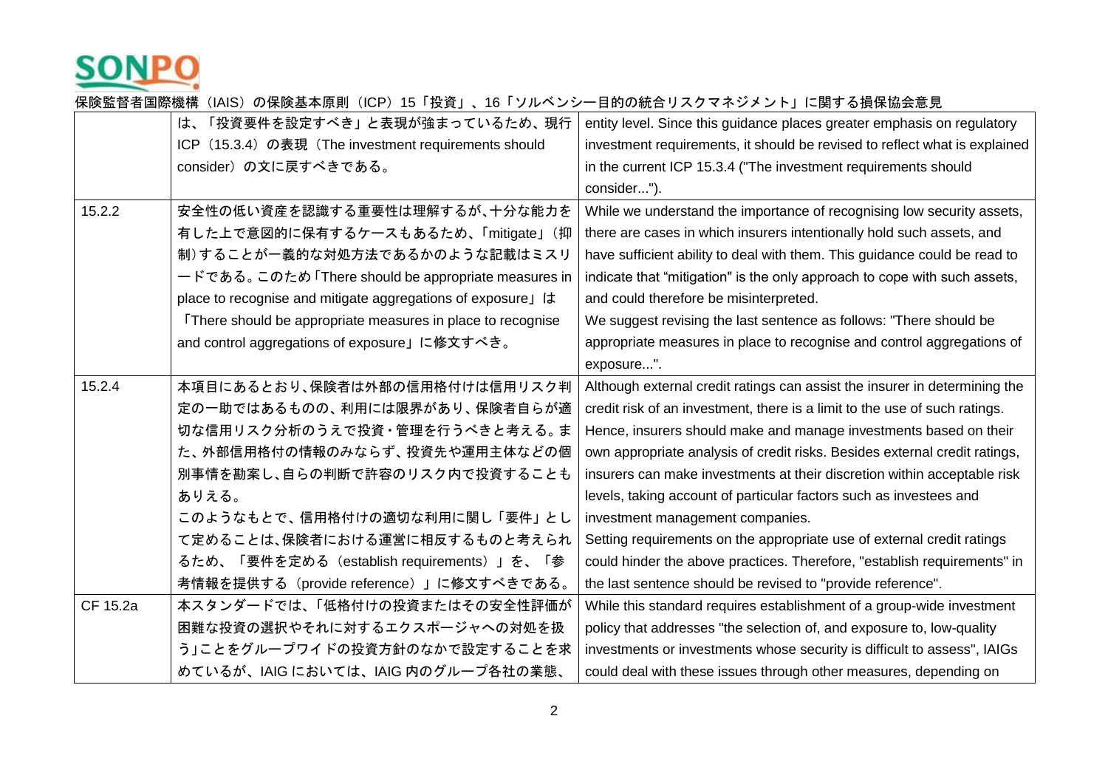

|          | は、「投資要件を設定すべき」と表現が強まっているため、現行                              | entity level. Since this guidance places greater emphasis on regulatory    |
|----------|------------------------------------------------------------|----------------------------------------------------------------------------|
|          | ICP (15.3.4) の表現 (The investment requirements should       | investment requirements, it should be revised to reflect what is explained |
|          | consider)の文に戻すべきである。                                       | in the current ICP 15.3.4 ("The investment requirements should             |
|          |                                                            | consider").                                                                |
| 15.2.2   | 安全性の低い資産を認識する重要性は理解するが、十分な能力を                              | While we understand the importance of recognising low security assets,     |
|          | 有した上で意図的に保有するケースもあるため、「mitigate」(抑                         | there are cases in which insurers intentionally hold such assets, and      |
|          | 制)することが一義的な対処方法であるかのような記載はミスリ                              | have sufficient ability to deal with them. This guidance could be read to  |
|          | ードである。このため「There should be appropriate measures in         | indicate that "mitigation" is the only approach to cope with such assets,  |
|          | place to recognise and mitigate aggregations of exposure」は | and could therefore be misinterpreted.                                     |
|          | There should be appropriate measures in place to recognise | We suggest revising the last sentence as follows: "There should be         |
|          | and control aggregations of exposure」に修文すべき。               | appropriate measures in place to recognise and control aggregations of     |
|          |                                                            | exposure".                                                                 |
| 15.2.4   | 本項目にあるとおり、保険者は外部の信用格付けは信用リスク判                              | Although external credit ratings can assist the insurer in determining the |
|          | 定の一助ではあるものの、利用には限界があり、保険者自らが適                              | credit risk of an investment, there is a limit to the use of such ratings. |
|          | 切な信用リスク分析のうえで投資・管理を行うべきと考える。ま                              | Hence, insurers should make and manage investments based on their          |
|          | た、外部信用格付の情報のみならず、投資先や運用主体などの個                              | own appropriate analysis of credit risks. Besides external credit ratings, |
|          | 別事情を勘案し、自らの判断で許容のリスク内で投資することも                              | insurers can make investments at their discretion within acceptable risk   |
|          | ありえる。                                                      | levels, taking account of particular factors such as investees and         |
|          | このようなもとで、信用格付けの適切な利用に関し「要件」とし                              | investment management companies.                                           |
|          | て定めることは、保険者における運営に相反するものと考えられ                              | Setting requirements on the appropriate use of external credit ratings     |
|          | るため、「要件を定める(establish requirements)」を、「参                   | could hinder the above practices. Therefore, "establish requirements" in   |
|          | 考情報を提供する(provide reference)」に修文すべきである。                     | the last sentence should be revised to "provide reference".                |
| CF 15.2a | 本スタンダードでは、「低格付けの投資またはその安全性評価が                              | While this standard requires establishment of a group-wide investment      |
|          | 困難な投資の選択やそれに対するエクスポージャへの対処を扱                               | policy that addresses "the selection of, and exposure to, low-quality      |
|          | う」ことをグループワイドの投資方針のなかで設定することを求                              | investments or investments whose security is difficult to assess", IAIGs   |
|          | めているが、IAIG においては、IAIG 内のグループ各社の業態、                         | could deal with these issues through other measures, depending on          |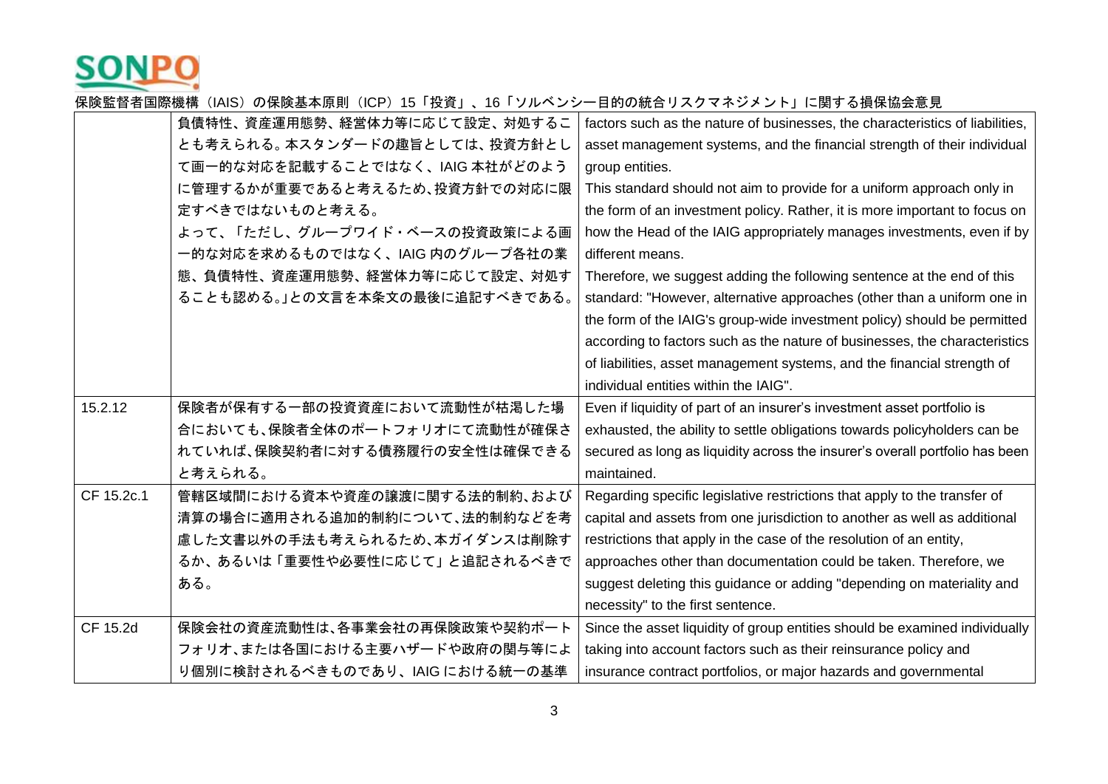

|            | 負債特性、資産運用態勢、経営体力等に応じて設定、対処するこ   | factors such as the nature of businesses, the characteristics of liabilities, |
|------------|---------------------------------|-------------------------------------------------------------------------------|
|            | とも考えられる。本スタンダードの趣旨としては、投資方針とし   | asset management systems, and the financial strength of their individual      |
|            | て画一的な対応を記載することではなく、IAIG 本社がどのよう | group entities.                                                               |
|            | に管理するかが重要であると考えるため、投資方針での対応に限   | This standard should not aim to provide for a uniform approach only in        |
|            | 定すべきではないものと考える。                 | the form of an investment policy. Rather, it is more important to focus on    |
|            | よって、「ただし、グループワイド・ベースの投資政策による画   | how the Head of the IAIG appropriately manages investments, even if by        |
|            | 一的な対応を求めるものではなく、IAIG 内のグループ各社の業 | different means.                                                              |
|            | 態、負債特性、資産運用態勢、経営体力等に応じて設定、対処す   | Therefore, we suggest adding the following sentence at the end of this        |
|            | ることも認める。」との文言を本条文の最後に追記すべきである。  | standard: "However, alternative approaches (other than a uniform one in       |
|            |                                 | the form of the IAIG's group-wide investment policy) should be permitted      |
|            |                                 | according to factors such as the nature of businesses, the characteristics    |
|            |                                 | of liabilities, asset management systems, and the financial strength of       |
|            |                                 | individual entities within the IAIG".                                         |
| 15.2.12    | 保険者が保有する一部の投資資産において流動性が枯渇した場    | Even if liquidity of part of an insurer's investment asset portfolio is       |
|            | 合においても、保険者全体のポートフォリオにて流動性が確保さ   | exhausted, the ability to settle obligations towards policyholders can be     |
|            | れていれば、保険契約者に対する債務履行の安全性は確保できる   | secured as long as liquidity across the insurer's overall portfolio has been  |
|            | と考えられる。                         | maintained.                                                                   |
| CF 15.2c.1 | 管轄区域間における資本や資産の譲渡に関する法的制約、および   | Regarding specific legislative restrictions that apply to the transfer of     |
|            | 清算の場合に適用される追加的制約について、法的制約などを考   | capital and assets from one jurisdiction to another as well as additional     |
|            | 慮した文書以外の手法も考えられるため、本ガイダンスは削除す   | restrictions that apply in the case of the resolution of an entity,           |
|            | るか、あるいは「重要性や必要性に応じて」と追記されるべきで   | approaches other than documentation could be taken. Therefore, we             |
|            | ある。                             | suggest deleting this guidance or adding "depending on materiality and        |
|            |                                 | necessity" to the first sentence.                                             |
| CF 15.2d   | 保険会社の資産流動性は、各事業会社の再保険政策や契約ポート   | Since the asset liquidity of group entities should be examined individually   |
|            | フォリオ、または各国における主要ハザードや政府の関与等によ   | taking into account factors such as their reinsurance policy and              |
|            | り個別に検討されるべきものであり、IAIG における統一の基準 | insurance contract portfolios, or major hazards and governmental              |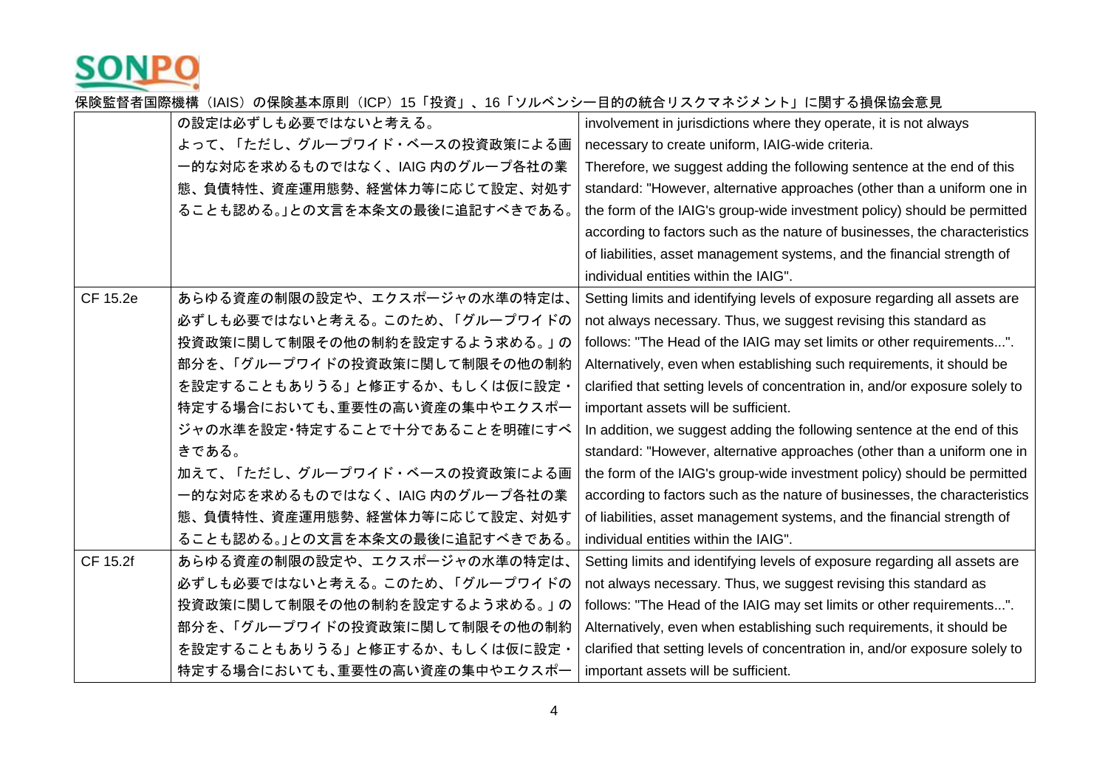

|          | の設定は必ずしも必要ではないと考える。             | involvement in jurisdictions where they operate, it is not always            |
|----------|---------------------------------|------------------------------------------------------------------------------|
|          | よって、「ただし、グループワイド・ベースの投資政策による画   | necessary to create uniform, IAIG-wide criteria.                             |
|          | 一的な対応を求めるものではなく、IAIG 内のグループ各社の業 | Therefore, we suggest adding the following sentence at the end of this       |
|          | 態、負債特性、資産運用態勢、経営体力等に応じて設定、対処す   | standard: "However, alternative approaches (other than a uniform one in      |
|          | ることも認める。」との文言を本条文の最後に追記すべきである。  | the form of the IAIG's group-wide investment policy) should be permitted     |
|          |                                 | according to factors such as the nature of businesses, the characteristics   |
|          |                                 | of liabilities, asset management systems, and the financial strength of      |
|          |                                 | individual entities within the IAIG".                                        |
| CF 15.2e | あらゆる資産の制限の設定や、エクスポージャの水準の特定は、   | Setting limits and identifying levels of exposure regarding all assets are   |
|          | 必ずしも必要ではないと考える。このため、「グループワイドの   | not always necessary. Thus, we suggest revising this standard as             |
|          | 投資政策に関して制限その他の制約を設定するよう求める。」の   | follows: "The Head of the IAIG may set limits or other requirements".        |
|          | 部分を、「グループワイドの投資政策に関して制限その他の制約   | Alternatively, even when establishing such requirements, it should be        |
|          | を設定することもありうる」と修正するか、もしくは仮に設定・   | clarified that setting levels of concentration in, and/or exposure solely to |
|          | 特定する場合においても、重要性の高い資産の集中やエクスポー   | important assets will be sufficient.                                         |
|          | ジャの水準を設定・特定することで十分であることを明確にすべ   | In addition, we suggest adding the following sentence at the end of this     |
|          | きである。                           | standard: "However, alternative approaches (other than a uniform one in      |
|          | 加えて、「ただし、グループワイド・ベースの投資政策による画   | the form of the IAIG's group-wide investment policy) should be permitted     |
|          | 一的な対応を求めるものではなく、IAIG 内のグループ各社の業 | according to factors such as the nature of businesses, the characteristics   |
|          | 態、負債特性、資産運用態勢、経営体力等に応じて設定、対処す   | of liabilities, asset management systems, and the financial strength of      |
|          | ることも認める。」との文言を本条文の最後に追記すべきである。  | individual entities within the IAIG".                                        |
| CF 15.2f | あらゆる資産の制限の設定や、エクスポージャの水準の特定は、   | Setting limits and identifying levels of exposure regarding all assets are   |
|          | 必ずしも必要ではないと考える。このため、「グループワイドの   | not always necessary. Thus, we suggest revising this standard as             |
|          | 投資政策に関して制限その他の制約を設定するよう求める。」の   | follows: "The Head of the IAIG may set limits or other requirements".        |
|          | 部分を、「グループワイドの投資政策に関して制限その他の制約   | Alternatively, even when establishing such requirements, it should be        |
|          | を設定することもありうる」と修正するか、もしくは仮に設定・   | clarified that setting levels of concentration in, and/or exposure solely to |
|          | 特定する場合においても、重要性の高い資産の集中やエクスポー   | important assets will be sufficient.                                         |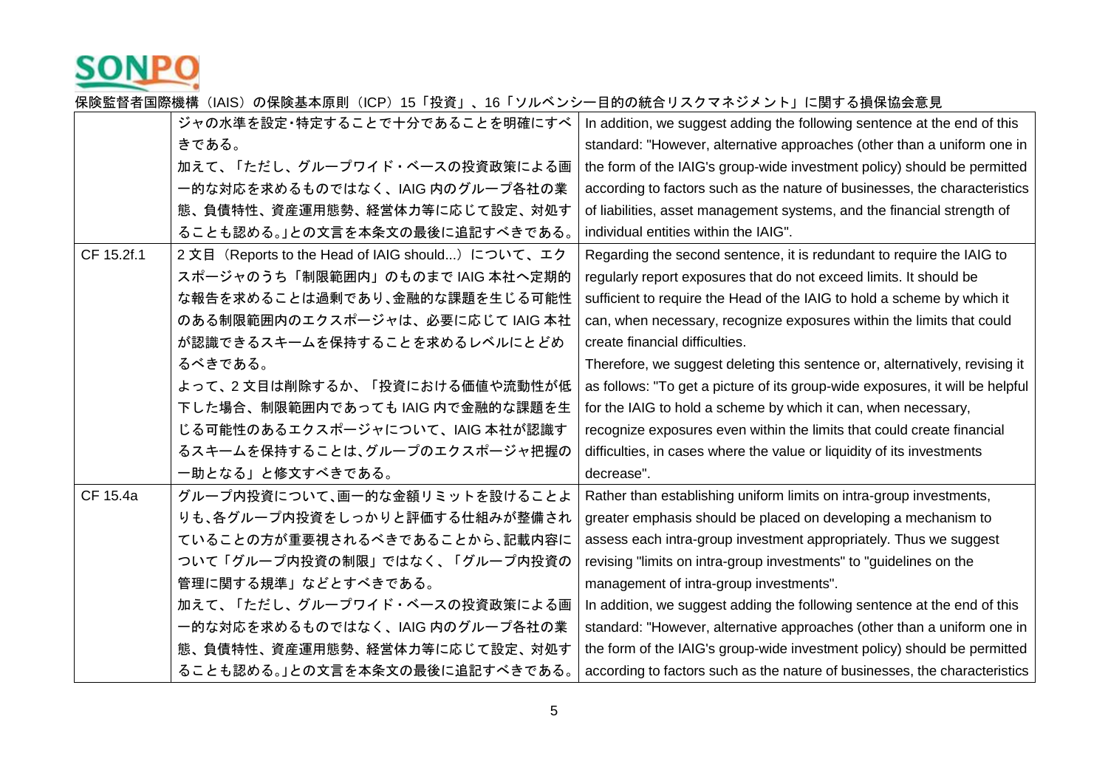

|            | ジャの水準を設定・特定することで十分であることを明確にすべ                     | In addition, we suggest adding the following sentence at the end of this      |
|------------|---------------------------------------------------|-------------------------------------------------------------------------------|
|            | きである。                                             | standard: "However, alternative approaches (other than a uniform one in       |
|            | 加えて、「ただし、グループワイド・ベースの投資政策による画                     | the form of the IAIG's group-wide investment policy) should be permitted      |
|            | 一的な対応を求めるものではなく、IAIG 内のグループ各社の業                   | according to factors such as the nature of businesses, the characteristics    |
|            | 態、負債特性、資産運用態勢、経営体力等に応じて設定、対処す                     | of liabilities, asset management systems, and the financial strength of       |
|            | ることも認める。」との文言を本条文の最後に追記すべきである。                    | individual entities within the IAIG".                                         |
| CF 15.2f.1 | 2 文目 (Reports to the Head of IAIG should) について、エク | Regarding the second sentence, it is redundant to require the IAIG to         |
|            | スポージャのうち「制限範囲内」のものまで IAIG 本社へ定期的                  | regularly report exposures that do not exceed limits. It should be            |
|            | な報告を求めることは過剰であり、金融的な課題を生じる可能性                     | sufficient to require the Head of the IAIG to hold a scheme by which it       |
|            | のある制限範囲内のエクスポージャは、必要に応じて IAIG 本社                  | can, when necessary, recognize exposures within the limits that could         |
|            | が認識できるスキームを保持することを求めるレベルにとどめ                      | create financial difficulties.                                                |
|            | るべきである。                                           | Therefore, we suggest deleting this sentence or, alternatively, revising it   |
|            | よって、2文目は削除するか、「投資における価値や流動性が低                     | as follows: "To get a picture of its group-wide exposures, it will be helpful |
|            | 下した場合、制限範囲内であっても IAIG 内で金融的な課題を生                  | for the IAIG to hold a scheme by which it can, when necessary,                |
|            | じる可能性のあるエクスポージャについて、IAIG 本社が認識す                   | recognize exposures even within the limits that could create financial        |
|            | るスキームを保持することは、グループのエクスポージャ把握の                     | difficulties, in cases where the value or liquidity of its investments        |
|            | 一助となる」と修文すべきである。                                  | decrease".                                                                    |
| CF 15.4a   | グループ内投資について、画一的な金額リミットを設けることよ                     | Rather than establishing uniform limits on intra-group investments,           |
|            | りも、各グループ内投資をしっかりと評価する仕組みが整備され                     | greater emphasis should be placed on developing a mechanism to                |
|            | ていることの方が重要視されるべきであることから、記載内容に                     | assess each intra-group investment appropriately. Thus we suggest             |
|            | ついて「グループ内投資の制限」ではなく、「グループ内投資の                     | revising "limits on intra-group investments" to "guidelines on the            |
|            | 管理に関する規準」などとすべきである。                               | management of intra-group investments".                                       |
|            | 加えて、「ただし、グループワイド・ベースの投資政策による画                     | In addition, we suggest adding the following sentence at the end of this      |
|            | 一的な対応を求めるものではなく、IAIG 内のグループ各社の業                   | standard: "However, alternative approaches (other than a uniform one in       |
|            | 態、負債特性、資産運用態勢、経営体力等に応じて設定、対処す                     | the form of the IAIG's group-wide investment policy) should be permitted      |
|            | ることも認める。」との文言を本条文の最後に追記すべきである。                    | according to factors such as the nature of businesses, the characteristics    |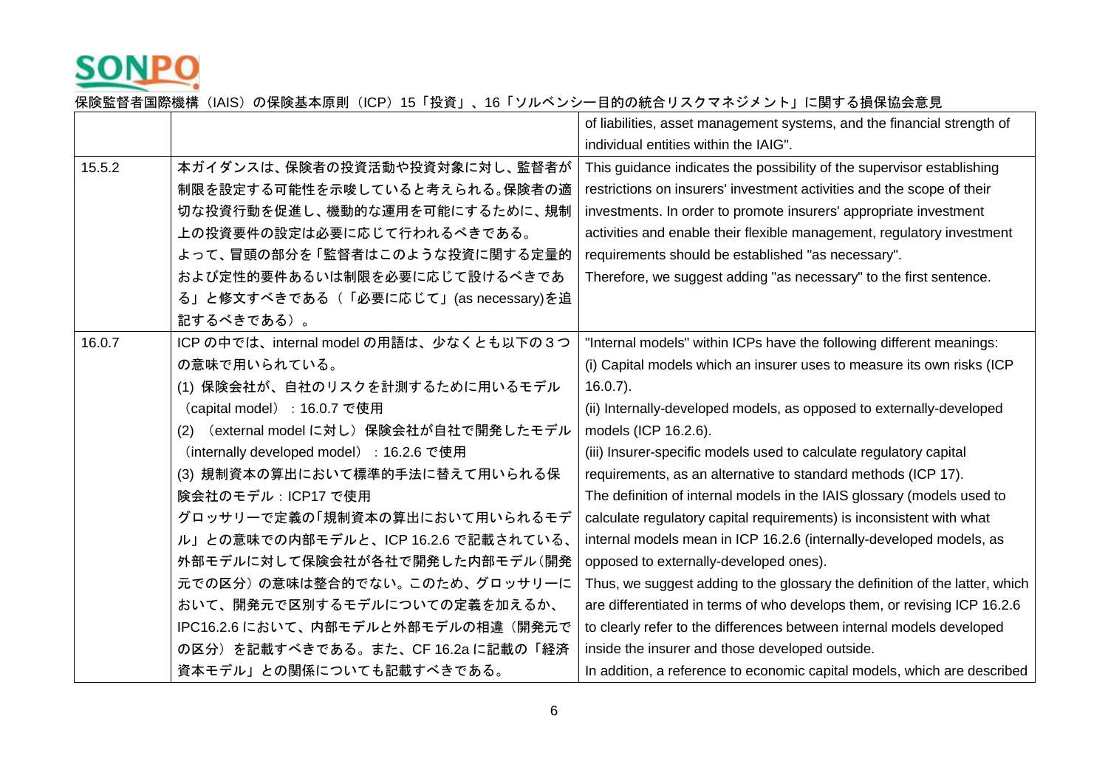

|        |                                            | of liabilities, asset management systems, and the financial strength of     |
|--------|--------------------------------------------|-----------------------------------------------------------------------------|
|        |                                            | individual entities within the IAIG".                                       |
| 15.5.2 | 本ガイダンスは、保険者の投資活動や投資対象に対し、監督者が              | This guidance indicates the possibility of the supervisor establishing      |
|        | 制限を設定する可能性を示唆していると考えられる。保険者の適              | restrictions on insurers' investment activities and the scope of their      |
|        | 切な投資行動を促進し、機動的な運用を可能にするために、規制              | investments. In order to promote insurers' appropriate investment           |
|        | 上の投資要件の設定は必要に応じて行われるべきである。                 | activities and enable their flexible management, regulatory investment      |
|        | よって、冒頭の部分を「監督者はこのような投資に関する定量的              | requirements should be established "as necessary".                          |
|        | および定性的要件あるいは制限を必要に応じて設けるべきであ               | Therefore, we suggest adding "as necessary" to the first sentence.          |
|        | る」と修文すべきである(「必要に応じて」(as necessary)を追       |                                                                             |
|        | 記するべきである)。                                 |                                                                             |
| 16.0.7 | ICP の中では、internal model の用語は、少なくとも以下の3つ    | "Internal models" within ICPs have the following different meanings:        |
|        | の意味で用いられている。                               | (i) Capital models which an insurer uses to measure its own risks (ICP      |
|        | (1) 保険会社が、自社のリスクを計測するために用いるモデル             | $16.0.7$ ).                                                                 |
|        | (capital model): 16.0.7 で使用                | (ii) Internally-developed models, as opposed to externally-developed        |
|        | (external model に対し)保険会社が自社で開発したモデル<br>(2) | models (ICP 16.2.6).                                                        |
|        | (internally developed model) : 16.2.6 で使用  | (iii) Insurer-specific models used to calculate regulatory capital          |
|        | (3) 規制資本の算出において標準的手法に替えて用いられる保             | requirements, as an alternative to standard methods (ICP 17).               |
|        | 険会社のモデル: ICP17 で使用                         | The definition of internal models in the IAIS glossary (models used to      |
|        | グロッサリーで定義の「規制資本の算出において用いられるモデ              | calculate regulatory capital requirements) is inconsistent with what        |
|        | ル」との意味での内部モデルと、ICP 16.2.6 で記載されている、        | internal models mean in ICP 16.2.6 (internally-developed models, as         |
|        | 外部モデルに対して保険会社が各社で開発した内部モデル(開発              | opposed to externally-developed ones).                                      |
|        | 元での区分)の意味は整合的でない。このため、グロッサリーに              | Thus, we suggest adding to the glossary the definition of the latter, which |
|        | おいて、開発元で区別するモデルについての定義を加えるか、               | are differentiated in terms of who develops them, or revising ICP 16.2.6    |
|        | IPC16.2.6 において、内部モデルと外部モデルの相違(開発元で         | to clearly refer to the differences between internal models developed       |
|        | の区分)を記載すべきである。また、CF 16.2a に記載の「経済          | inside the insurer and those developed outside.                             |
|        | 資本モデル」との関係についても記載すべきである。                   | In addition, a reference to economic capital models, which are described    |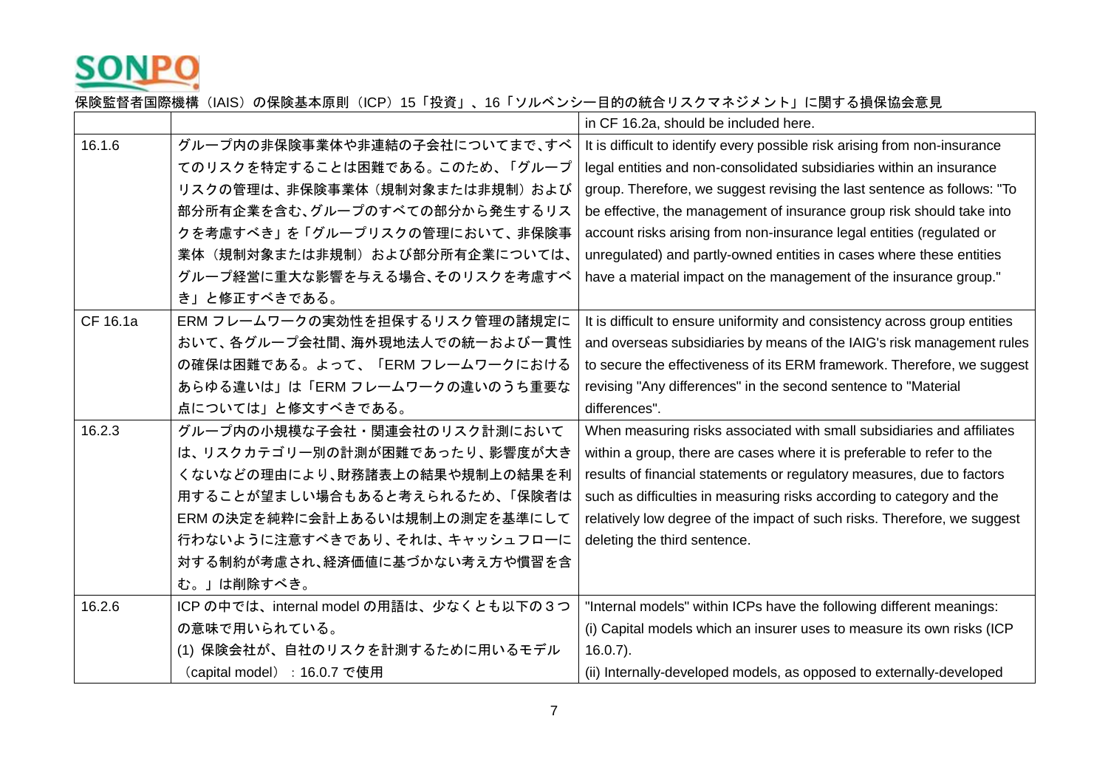

|          |                                         | in CF 16.2a, should be included here.                                      |
|----------|-----------------------------------------|----------------------------------------------------------------------------|
| 16.1.6   | グループ内の非保険事業体や非連結の子会社についてまで、すべ           | It is difficult to identify every possible risk arising from non-insurance |
|          | てのリスクを特定することは困難である。このため、「グループ           | legal entities and non-consolidated subsidiaries within an insurance       |
|          | リスクの管理は、非保険事業体(規制対象または非規制)および           | group. Therefore, we suggest revising the last sentence as follows: "To    |
|          | 部分所有企業を含む、グループのすべての部分から発生するリス           | be effective, the management of insurance group risk should take into      |
|          | クを考慮すべき」を「グループリスクの管理において、非保険事           | account risks arising from non-insurance legal entities (regulated or      |
|          | 業体(規制対象または非規制)および部分所有企業については、           | unregulated) and partly-owned entities in cases where these entities       |
|          | グループ経営に重大な影響を与える場合、そのリスクを考慮すべ           | have a material impact on the management of the insurance group."          |
|          | き」と修正すべきである。                            |                                                                            |
| CF 16.1a | ERM フレームワークの実効性を担保するリスク管理の諸規定に          | It is difficult to ensure uniformity and consistency across group entities |
|          | おいて、各グループ会社間、海外現地法人での統一および一貫性           | and overseas subsidiaries by means of the IAIG's risk management rules     |
|          | の確保は困難である。よって、「ERM フレームワークにおける          | to secure the effectiveness of its ERM framework. Therefore, we suggest    |
|          | あらゆる違いは」は「ERM フレームワークの違いのうち重要な          | revising "Any differences" in the second sentence to "Material             |
|          | 点については」と修文すべきである。                       | differences".                                                              |
| 16.2.3   | グループ内の小規模な子会社・関連会社のリスク計測において            | When measuring risks associated with small subsidiaries and affiliates     |
|          |                                         |                                                                            |
|          | は、リスクカテゴリー別の計測が困難であったり、影響度が大き           | within a group, there are cases where it is preferable to refer to the     |
|          | くないなどの理由により、財務諸表上の結果や規制上の結果を利           | results of financial statements or regulatory measures, due to factors     |
|          | 用することが望ましい場合もあると考えられるため、「保険者は           | such as difficulties in measuring risks according to category and the      |
|          | ERM の決定を純粋に会計上あるいは規制上の測定を基準にして          | relatively low degree of the impact of such risks. Therefore, we suggest   |
|          | 行わないように注意すべきであり、それは、キャッシュフローに           | deleting the third sentence.                                               |
|          | 対する制約が考慮され、経済価値に基づかない考え方や慣習を含           |                                                                            |
|          | む。」は削除すべき。                              |                                                                            |
| 16.2.6   | ICP の中では、internal model の用語は、少なくとも以下の3つ | "Internal models" within ICPs have the following different meanings:       |
|          | の意味で用いられている。                            | (i) Capital models which an insurer uses to measure its own risks (ICP     |
|          | (1) 保険会社が、自社のリスクを計測するために用いるモデル          | $16.0.7$ ).                                                                |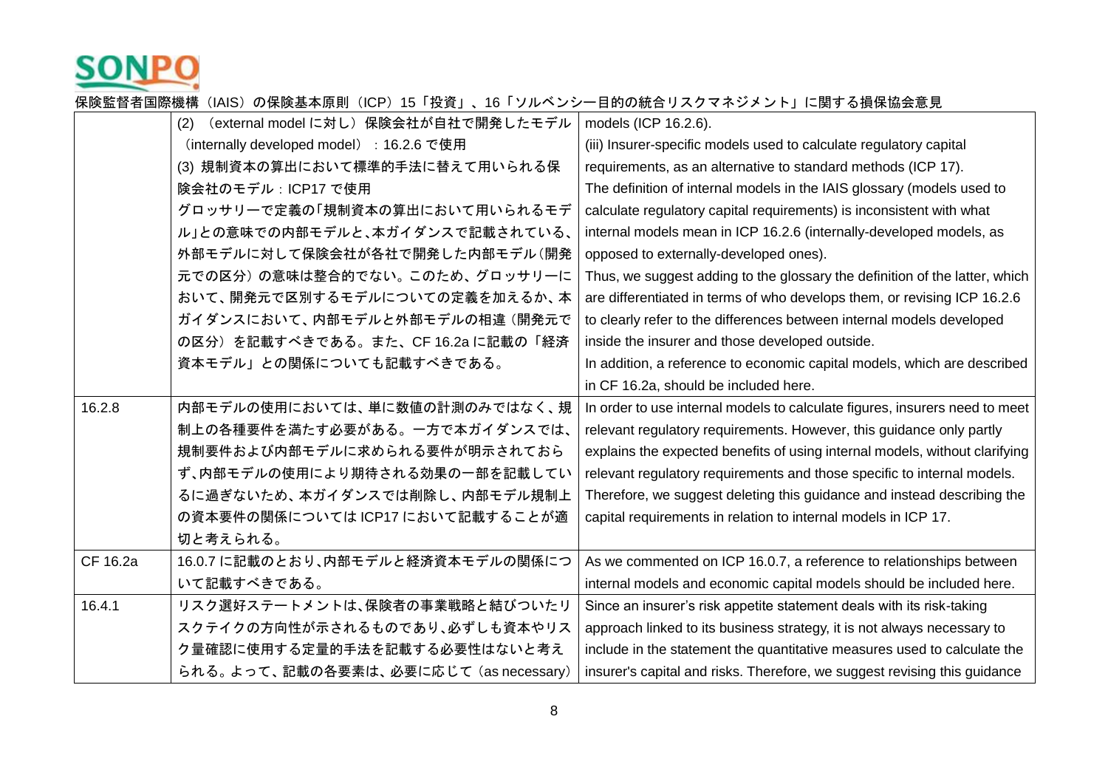

|          | (external model に対し) 保険会社が自社で開発したモデル<br>(2) | models (ICP 16.2.6).                                                        |
|----------|---------------------------------------------|-----------------------------------------------------------------------------|
|          | (internally developed model) : 16.2.6 で使用   | (iii) Insurer-specific models used to calculate regulatory capital          |
|          | (3) 規制資本の算出において標準的手法に替えて用いられる保              | requirements, as an alternative to standard methods (ICP 17).               |
|          | 険会社のモデル: ICP17 で使用                          | The definition of internal models in the IAIS glossary (models used to      |
|          | グロッサリーで定義の「規制資本の算出において用いられるモデ               | calculate regulatory capital requirements) is inconsistent with what        |
|          | ル」との意味での内部モデルと、本ガイダンスで記載されている、              | internal models mean in ICP 16.2.6 (internally-developed models, as         |
|          | 外部モデルに対して保険会社が各社で開発した内部モデル(開発               | opposed to externally-developed ones).                                      |
|          | 元での区分)の意味は整合的でない。このため、グロッサリーに               | Thus, we suggest adding to the glossary the definition of the latter, which |
|          | おいて、開発元で区別するモデルについての定義を加えるか、本               | are differentiated in terms of who develops them, or revising ICP 16.2.6    |
|          | ガイダンスにおいて、内部モデルと外部モデルの相違(開発元で               | to clearly refer to the differences between internal models developed       |
|          | の区分)を記載すべきである。また、CF 16.2a に記載の「経済           | inside the insurer and those developed outside.                             |
|          | 資本モデル」との関係についても記載すべきである。                    | In addition, a reference to economic capital models, which are described    |
|          |                                             | in CF 16.2a, should be included here.                                       |
| 16.2.8   | 内部モデルの使用においては、単に数値の計測のみではなく、規               | In order to use internal models to calculate figures, insurers need to meet |
|          | 制上の各種要件を満たす必要がある。一方で本ガイダンスでは、               | relevant regulatory requirements. However, this guidance only partly        |
|          | 規制要件および内部モデルに求められる要件が明示されておら                | explains the expected benefits of using internal models, without clarifying |
|          | ず、内部モデルの使用により期待される効果の一部を記載してい               | relevant regulatory requirements and those specific to internal models.     |
|          | るに過ぎないため、本ガイダンスでは削除し、内部モデル規制上               | Therefore, we suggest deleting this guidance and instead describing the     |
|          | の資本要件の関係については ICP17 において記載することが適            | capital requirements in relation to internal models in ICP 17.              |
|          | 切と考えられる。                                    |                                                                             |
| CF 16.2a | 16.0.7 に記載のとおり、内部モデルと経済資本モデルの関係につ           | As we commented on ICP 16.0.7, a reference to relationships between         |
|          | いて記載すべきである。                                 | internal models and economic capital models should be included here.        |
| 16.4.1   | リスク選好ステートメントは、保険者の事業戦略と結びついたリ               | Since an insurer's risk appetite statement deals with its risk-taking       |
|          | スクテイクの方向性が示されるものであり、必ずしも資本やリス               | approach linked to its business strategy, it is not always necessary to     |
|          | ク量確認に使用する定量的手法を記載する必要性はないと考え                | include in the statement the quantitative measures used to calculate the    |
|          | られる。よって、記載の各要素は、必要に応じて (as necessary)       | insurer's capital and risks. Therefore, we suggest revising this guidance   |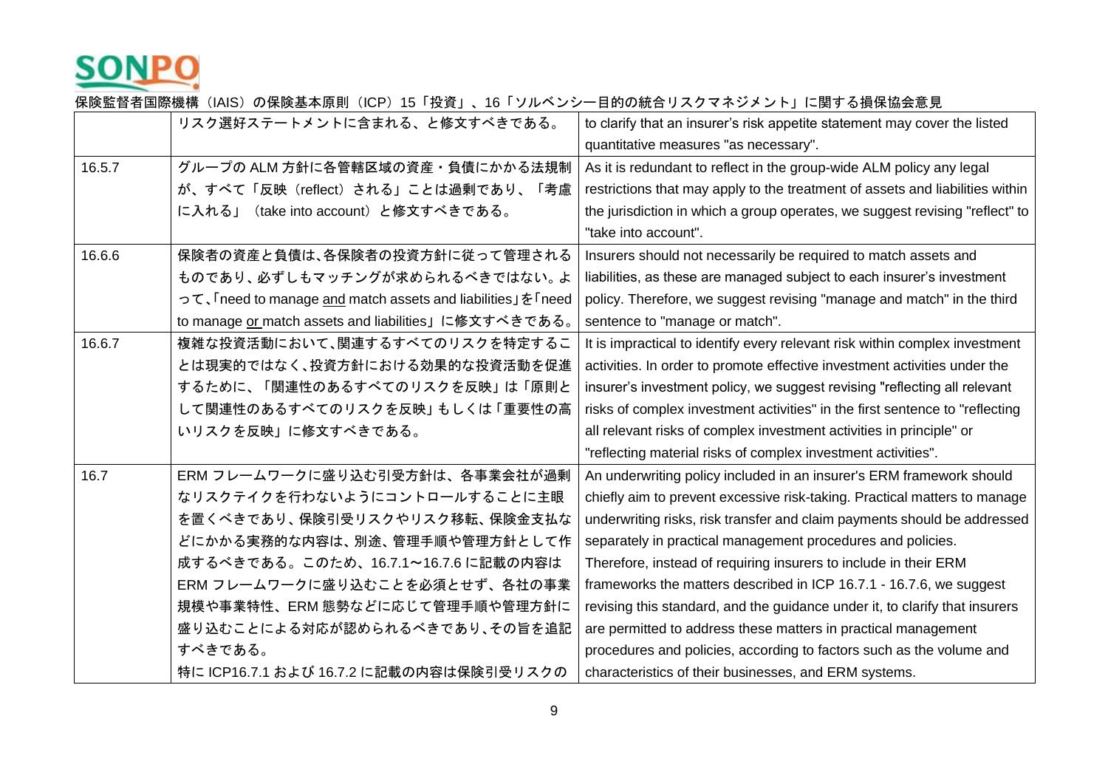

|        | リスク選好ステートメントに含まれる、と修文すべきである。                               | to clarify that an insurer's risk appetite statement may cover the listed     |
|--------|------------------------------------------------------------|-------------------------------------------------------------------------------|
|        |                                                            | quantitative measures "as necessary".                                         |
|        |                                                            |                                                                               |
| 16.5.7 | グループの ALM 方針に各管轄区域の資産・負債にかかる法規制                            | As it is redundant to reflect in the group-wide ALM policy any legal          |
|        | が、すべて「反映(reflect)される」ことは過剰であり、<br>「考慮                      | restrictions that may apply to the treatment of assets and liabilities within |
|        | に入れる」(take into account)と修文すべきである。                         | the jurisdiction in which a group operates, we suggest revising "reflect" to  |
|        |                                                            | "take into account".                                                          |
| 16.6.6 | 保険者の資産と負債は、各保険者の投資方針に従って管理される                              | Insurers should not necessarily be required to match assets and               |
|        | ものであり、必ずしもマッチングが求められるべきではない。よ                              | liabilities, as these are managed subject to each insurer's investment        |
|        | って、「need to manage and match assets and liabilities」を「need | policy. Therefore, we suggest revising "manage and match" in the third        |
|        | to manage or match assets and liabilities」に修文すべきである。       | sentence to "manage or match".                                                |
| 16.6.7 | 複雑な投資活動において、関連するすべてのリスクを特定するこ                              | It is impractical to identify every relevant risk within complex investment   |
|        | とは現実的ではなく、投資方針における効果的な投資活動を促進                              | activities. In order to promote effective investment activities under the     |
|        | するために、「関連性のあるすべてのリスクを反映」は「原則と                              | insurer's investment policy, we suggest revising "reflecting all relevant     |
|        | して関連性のあるすべてのリスクを反映」もしくは「重要性の高                              | risks of complex investment activities" in the first sentence to "reflecting  |
|        | いリスクを反映」に修文すべきである。                                         | all relevant risks of complex investment activities in principle" or          |
|        |                                                            | "reflecting material risks of complex investment activities".                 |
| 16.7   | ERM フレームワークに盛り込む引受方針は、各事業会社が過剰                             | An underwriting policy included in an insurer's ERM framework should          |
|        | なリスクテイクを行わないようにコントロールすることに主眼                               | chiefly aim to prevent excessive risk-taking. Practical matters to manage     |
|        | を置くべきであり、保険引受リスクやリスク移転、保険金支払な                              | underwriting risks, risk transfer and claim payments should be addressed      |
|        | どにかかる実務的な内容は、別途、管理手順や管理方針として作                              | separately in practical management procedures and policies.                   |
|        | 成するべきである。このため、16.7.1~16.7.6 に記載の内容は                        | Therefore, instead of requiring insurers to include in their ERM              |
|        | ERM フレームワークに盛り込むことを必須とせず、各社の事業                             | frameworks the matters described in ICP 16.7.1 - 16.7.6, we suggest           |
|        | 規模や事業特性、ERM 態勢などに応じて管理手順や管理方針に                             | revising this standard, and the guidance under it, to clarify that insurers   |
|        | 盛り込むことによる対応が認められるべきであり、その旨を追記                              | are permitted to address these matters in practical management                |
|        | すべきである。                                                    | procedures and policies, according to factors such as the volume and          |
|        | 特に ICP16.7.1 および 16.7.2 に記載の内容は保険引受リスクの                    | characteristics of their businesses, and ERM systems.                         |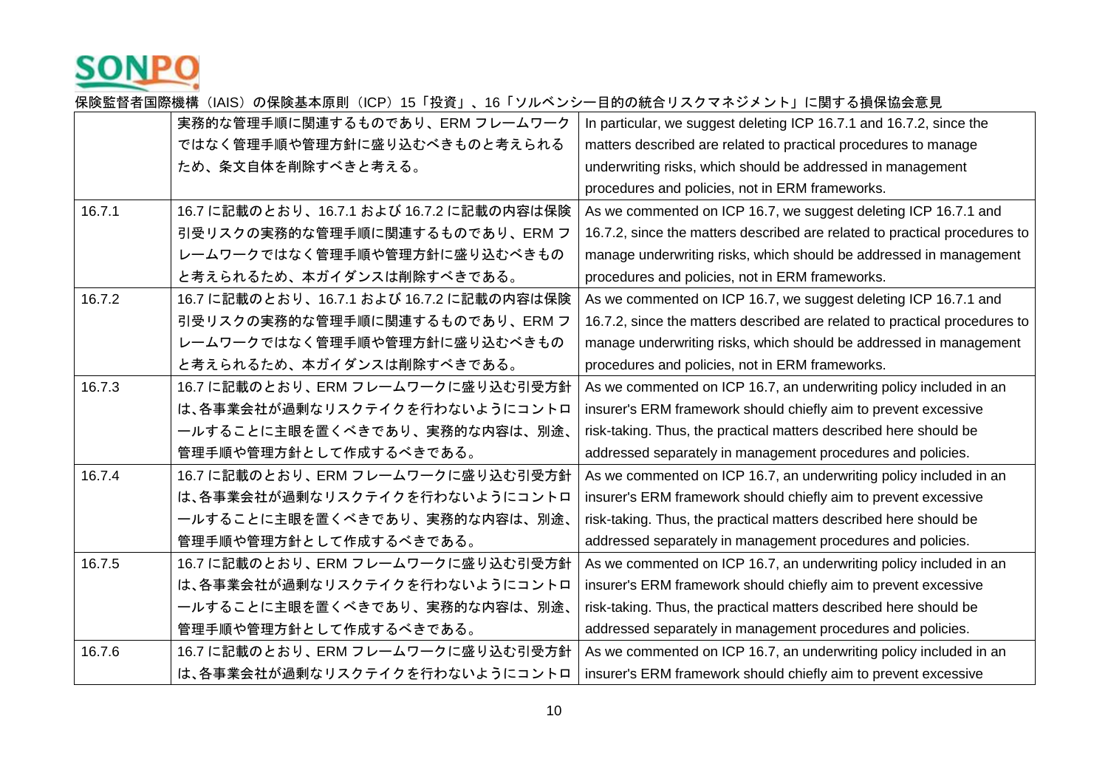

|        | 実務的な管理手順に関連するものであり、ERM フレームワーク           | In particular, we suggest deleting ICP 16.7.1 and 16.7.2, since the        |
|--------|------------------------------------------|----------------------------------------------------------------------------|
|        | ではなく管理手順や管理方針に盛り込むべきものと考えられる             | matters described are related to practical procedures to manage            |
|        | ため、条文自体を削除すべきと考える。                       | underwriting risks, which should be addressed in management                |
|        |                                          | procedures and policies, not in ERM frameworks.                            |
| 16.7.1 | 16.7 に記載のとおり、16.7.1 および 16.7.2 に記載の内容は保険 | As we commented on ICP 16.7, we suggest deleting ICP 16.7.1 and            |
|        | 引受リスクの実務的な管理手順に関連するものであり、ERM フ           | 16.7.2, since the matters described are related to practical procedures to |
|        | レームワークではなく管理手順や管理方針に盛り込むべきもの             | manage underwriting risks, which should be addressed in management         |
|        | と考えられるため、本ガイダンスは削除すべきである。                | procedures and policies, not in ERM frameworks.                            |
| 16.7.2 | 16.7 に記載のとおり、16.7.1 および 16.7.2 に記載の内容は保険 | As we commented on ICP 16.7, we suggest deleting ICP 16.7.1 and            |
|        | 引受リスクの実務的な管理手順に関連するものであり、ERM フ           | 16.7.2, since the matters described are related to practical procedures to |
|        | レームワークではなく管理手順や管理方針に盛り込むべきもの             | manage underwriting risks, which should be addressed in management         |
|        | と考えられるため、本ガイダンスは削除すべきである。                | procedures and policies, not in ERM frameworks.                            |
| 16.7.3 | 16.7 に記載のとおり、ERM フレームワークに盛り込む引受方針        | As we commented on ICP 16.7, an underwriting policy included in an         |
|        | は、各事業会社が過剰なリスクテイクを行わないようにコントロ            | insurer's ERM framework should chiefly aim to prevent excessive            |
|        | 一ルすることに主眼を置くべきであり、実務的な内容は、別途、            | risk-taking. Thus, the practical matters described here should be          |
|        | 管理手順や管理方針として作成するべきである。                   | addressed separately in management procedures and policies.                |
| 16.7.4 | 16.7 に記載のとおり、ERM フレームワークに盛り込む引受方針        | As we commented on ICP 16.7, an underwriting policy included in an         |
|        | は、各事業会社が過剰なリスクテイクを行わないようにコントロ            | insurer's ERM framework should chiefly aim to prevent excessive            |
|        | 一ルすることに主眼を置くべきであり、実務的な内容は、別途、            | risk-taking. Thus, the practical matters described here should be          |
|        | 管理手順や管理方針として作成するべきである。                   | addressed separately in management procedures and policies.                |
| 16.7.5 | 16.7 に記載のとおり、ERM フレームワークに盛り込む引受方針        | As we commented on ICP 16.7, an underwriting policy included in an         |
|        | は、各事業会社が過剰なリスクテイクを行わないようにコントロ            | insurer's ERM framework should chiefly aim to prevent excessive            |
|        | 一ルすることに主眼を置くべきであり、実務的な内容は、別途、            | risk-taking. Thus, the practical matters described here should be          |
|        | 管理手順や管理方針として作成するべきである。                   | addressed separately in management procedures and policies.                |
| 16.7.6 | 16.7 に記載のとおり、ERM フレームワークに盛り込む引受方針        | As we commented on ICP 16.7, an underwriting policy included in an         |
|        | は、各事業会社が過剰なリスクテイクを行わないようにコントロ            | insurer's ERM framework should chiefly aim to prevent excessive            |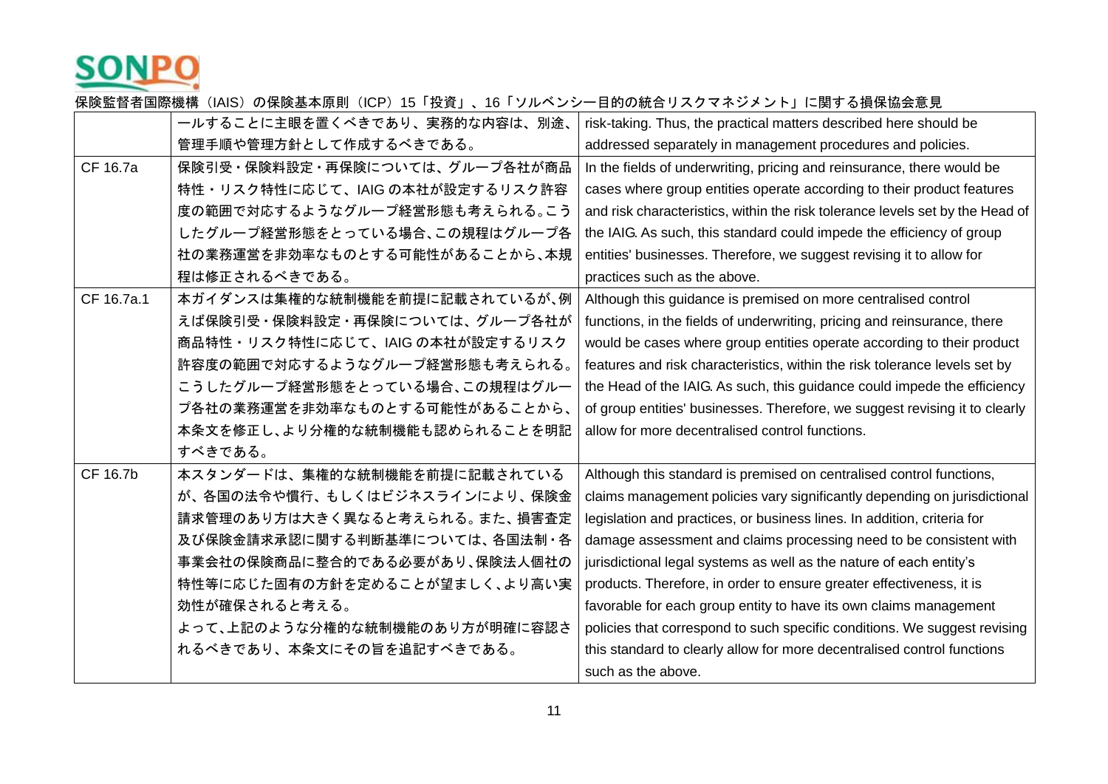

|            | 一ルすることに主眼を置くべきであり、実務的な内容は、別途、   | risk-taking. Thus, the practical matters described here should be             |
|------------|---------------------------------|-------------------------------------------------------------------------------|
|            | 管理手順や管理方針として作成するべきである。          | addressed separately in management procedures and policies.                   |
| CF 16.7a   | 保険引受・保険料設定・再保険については、グループ各社が商品   | In the fields of underwriting, pricing and reinsurance, there would be        |
|            | 特性・リスク特性に応じて、IAIG の本社が設定するリスク許容 | cases where group entities operate according to their product features        |
|            | 度の範囲で対応するようなグループ経営形態も考えられる。こう   | and risk characteristics, within the risk tolerance levels set by the Head of |
|            | したグループ経営形態をとっている場合、この規程はグループ各   | the IAIG. As such, this standard could impede the efficiency of group         |
|            | 社の業務運営を非効率なものとする可能性があることから、本規   | entities' businesses. Therefore, we suggest revising it to allow for          |
|            | 程は修正されるべきである。                   | practices such as the above.                                                  |
| CF 16.7a.1 | 本ガイダンスは集権的な統制機能を前提に記載されているが、例   | Although this guidance is premised on more centralised control                |
|            | えば保険引受・保険料設定・再保険については、グループ各社が   | functions, in the fields of underwriting, pricing and reinsurance, there      |
|            | 商品特性・リスク特性に応じて、IAIG の本社が設定するリスク | would be cases where group entities operate according to their product        |
|            | 許容度の範囲で対応するようなグループ経営形態も考えられる。   | features and risk characteristics, within the risk tolerance levels set by    |
|            | こうしたグループ経営形態をとっている場合、この規程はグルー   | the Head of the IAIG. As such, this guidance could impede the efficiency      |
|            | プ各社の業務運営を非効率なものとする可能性があることから、   | of group entities' businesses. Therefore, we suggest revising it to clearly   |
|            | 本条文を修正し、より分権的な統制機能も認められることを明記   | allow for more decentralised control functions.                               |
|            | すべきである。                         |                                                                               |
| CF 16.7b   | 本スタンダードは、集権的な統制機能を前提に記載されている    | Although this standard is premised on centralised control functions,          |
|            | が、各国の法令や慣行、もしくはビジネスラインにより、保険金   | claims management policies vary significantly depending on jurisdictional     |
|            | 請求管理のあり方は大きく異なると考えられる。また、損害査定   | legislation and practices, or business lines. In addition, criteria for       |
|            | 及び保険金請求承認に関する判断基準については、各国法制・各   | damage assessment and claims processing need to be consistent with            |
|            | 事業会社の保険商品に整合的である必要があり、保険法人個社の   | jurisdictional legal systems as well as the nature of each entity's           |
|            | 特性等に応じた固有の方針を定めることが望ましく、より高い実   | products. Therefore, in order to ensure greater effectiveness, it is          |
|            | 効性が確保されると考える。                   | favorable for each group entity to have its own claims management             |
|            | よって、上記のような分権的な統制機能のあり方が明確に容認さ   | policies that correspond to such specific conditions. We suggest revising     |
|            | れるべきであり、本条文にその旨を追記すべきである。       | this standard to clearly allow for more decentralised control functions       |
|            |                                 | such as the above.                                                            |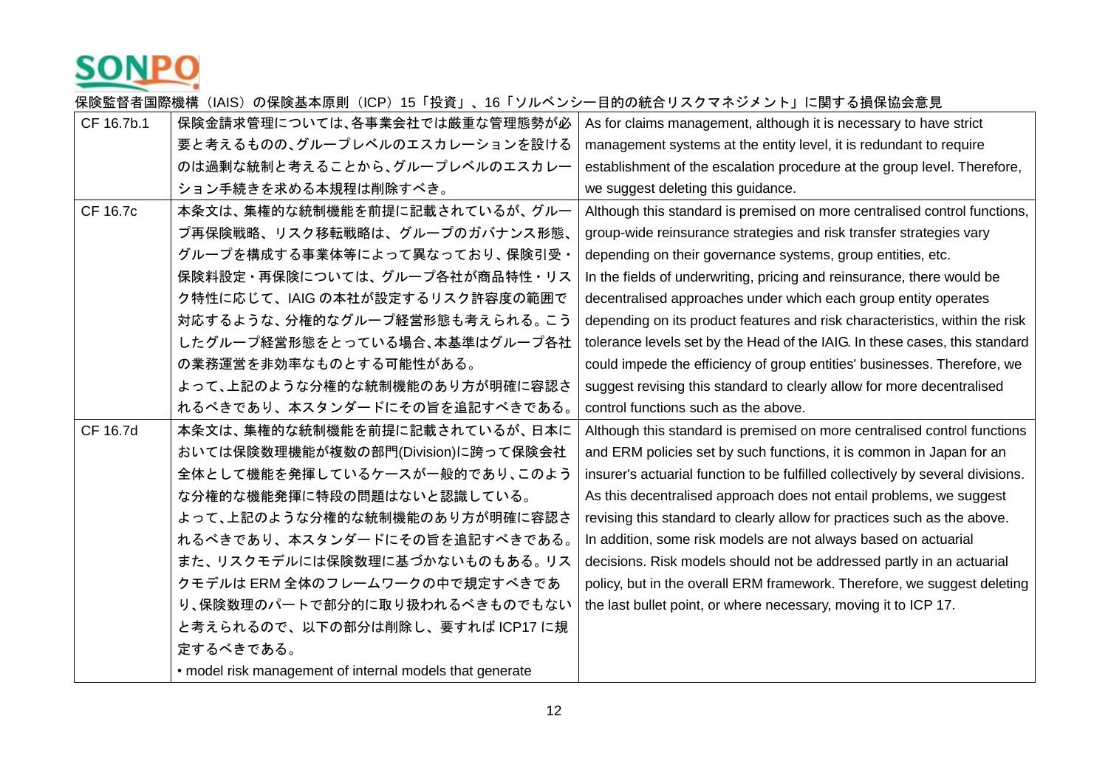

| 保険金請求管理については、各事業会社では厳重な管理態勢が必                            | As for claims management, although it is necessary to have strict               |
|----------------------------------------------------------|---------------------------------------------------------------------------------|
| 要と考えるものの、グループレベルのエスカレーションを設ける                            | management systems at the entity level, it is redundant to require              |
| のは過剰な統制と考えることから、グループレベルのエスカレー                            | establishment of the escalation procedure at the group level. Therefore,        |
| ション手続きを求める本規程は削除すべき。                                     | we suggest deleting this guidance.                                              |
| 本条文は、集権的な統制機能を前提に記載されているが、グルー                            | Although this standard is premised on more centralised control functions,       |
| プ再保険戦略、リスク移転戦略は、グループのガバナンス形態、                            | group-wide reinsurance strategies and risk transfer strategies vary             |
| グループを構成する事業体等によって異なっており、保険引受・                            | depending on their governance systems, group entities, etc.                     |
| 保険料設定·再保険については、グループ各社が商品特性·リス                            | In the fields of underwriting, pricing and reinsurance, there would be          |
| ク特性に応じて、IAIG の本社が設定するリスク許容度の範囲で                          | decentralised approaches under which each group entity operates                 |
| 対応するような、分権的なグループ経営形態も考えられる。こう                            | depending on its product features and risk characteristics, within the risk     |
| したグループ経営形態をとっている場合、本基準はグループ各社                            | tolerance levels set by the Head of the IAIG. In these cases, this standard     |
| の業務運営を非効率なものとする可能性がある。                                   | could impede the efficiency of group entities' businesses. Therefore, we        |
| よって、上記のような分権的な統制機能のあり方が明確に容認さ                            | suggest revising this standard to clearly allow for more decentralised          |
| れるべきであり、本スタンダードにその旨を追記すべきである。                            | control functions such as the above.                                            |
| 本条文は、集権的な統制機能を前提に記載されているが、日本に                            | Although this standard is premised on more centralised control functions        |
| おいては保険数理機能が複数の部門(Division)に跨って保険会社                       | and ERM policies set by such functions, it is common in Japan for an            |
| 全体として機能を発揮しているケースが一般的であり、このよう                            | insurer's actuarial function to be fulfilled collectively by several divisions. |
| な分権的な機能発揮に特段の問題はないと認識している。                               | As this decentralised approach does not entail problems, we suggest             |
| よって、上記のような分権的な統制機能のあり方が明確に容認さ                            | revising this standard to clearly allow for practices such as the above.        |
| れるべきであり、本スタンダードにその旨を追記すべきである。                            | In addition, some risk models are not always based on actuarial                 |
| また、リスクモデルには保険数理に基づかないものもある。リス                            | decisions. Risk models should not be addressed partly in an actuarial           |
| クモデルは ERM 全体のフレームワークの中で規定すべきであ                           | policy, but in the overall ERM framework. Therefore, we suggest deleting        |
| り、保険数理のパートで部分的に取り扱われるべきものでもない                            | the last bullet point, or where necessary, moving it to ICP 17.                 |
| と考えられるので、以下の部分は削除し、要すれば ICP17 に規                         |                                                                                 |
| 定するべきである。                                                |                                                                                 |
| • model risk management of internal models that generate |                                                                                 |
|                                                          |                                                                                 |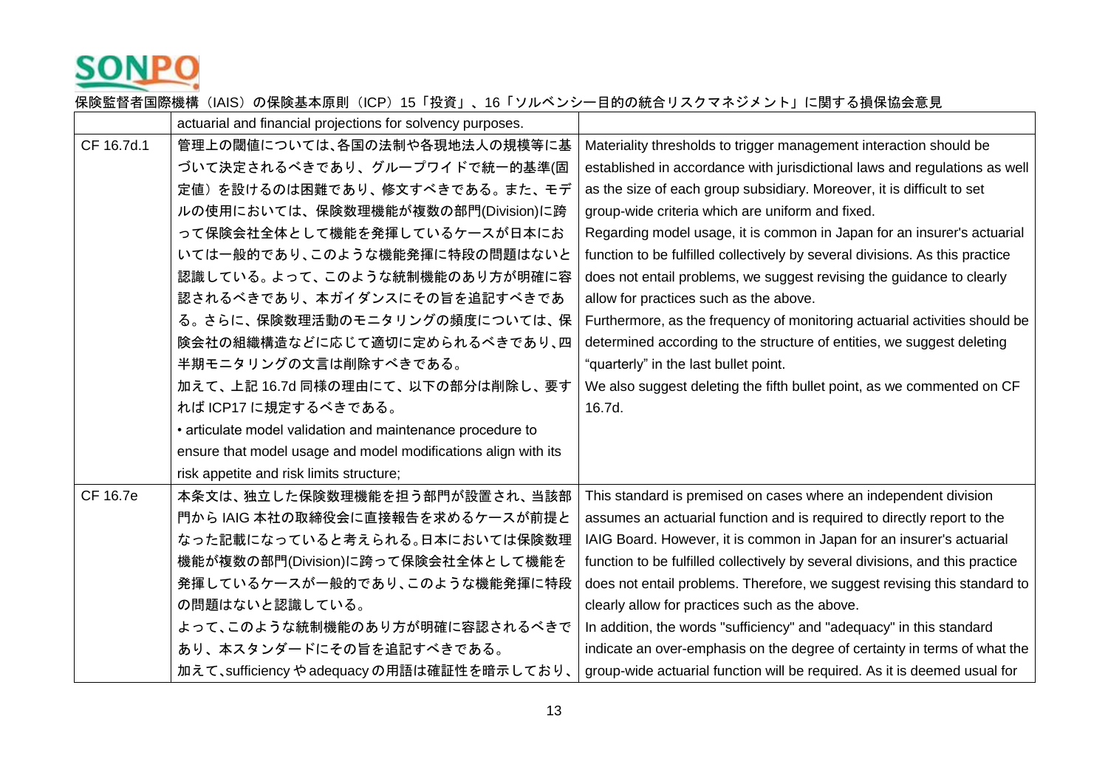

|            | actuarial and financial projections for solvency purposes.     |                                                                               |
|------------|----------------------------------------------------------------|-------------------------------------------------------------------------------|
| CF 16.7d.1 | 管理上の閾値については、各国の法制や各現地法人の規模等に基                                  | Materiality thresholds to trigger management interaction should be            |
|            | づいて決定されるべきであり、グループワイドで統一的基準(固                                  | established in accordance with jurisdictional laws and regulations as well    |
|            | 定値)を設けるのは困難であり、修文すべきである。また、モデ                                  | as the size of each group subsidiary. Moreover, it is difficult to set        |
|            | ルの使用においては、保険数理機能が複数の部門(Division)に跨                             | group-wide criteria which are uniform and fixed.                              |
|            | って保険会社全体として機能を発揮しているケースが日本にお                                   | Regarding model usage, it is common in Japan for an insurer's actuarial       |
|            | いては一般的であり、このような機能発揮に特段の問題はないと                                  | function to be fulfilled collectively by several divisions. As this practice  |
|            | 認識している。よって、このような統制機能のあり方が明確に容                                  | does not entail problems, we suggest revising the guidance to clearly         |
|            | 認されるべきであり、本ガイダンスにその旨を追記すべきであ                                   | allow for practices such as the above.                                        |
|            | る。さらに、保険数理活動のモニタリングの頻度については、保                                  | Furthermore, as the frequency of monitoring actuarial activities should be    |
|            | 険会社の組織構造などに応じて適切に定められるべきであり、四                                  | determined according to the structure of entities, we suggest deleting        |
|            | 半期モニタリングの文言は削除すべきである。                                          | "quarterly" in the last bullet point.                                         |
|            | 加えて、上記 16.7d 同様の理由にて、以下の部分は削除し、要す                              | We also suggest deleting the fifth bullet point, as we commented on CF        |
|            | れば ICP17 に規定するべきである。                                           | 16.7d.                                                                        |
|            | • articulate model validation and maintenance procedure to     |                                                                               |
|            | ensure that model usage and model modifications align with its |                                                                               |
|            | risk appetite and risk limits structure;                       |                                                                               |
| CF 16.7e   | 本条文は、独立した保険数理機能を担う部門が設置され、当該部                                  | This standard is premised on cases where an independent division              |
|            | 門から IAIG 本社の取締役会に直接報告を求めるケースが前提と                               | assumes an actuarial function and is required to directly report to the       |
|            | なった記載になっていると考えられる。日本においては保険数理                                  | IAIG Board. However, it is common in Japan for an insurer's actuarial         |
|            | 機能が複数の部門(Division)に跨って保険会社全体として機能を                             | function to be fulfilled collectively by several divisions, and this practice |
|            | 発揮しているケースが一般的であり、このような機能発揮に特段                                  | does not entail problems. Therefore, we suggest revising this standard to     |
|            | の問題はないと認識している。                                                 | clearly allow for practices such as the above.                                |
|            | よって、このような統制機能のあり方が明確に容認されるべきで                                  | In addition, the words "sufficiency" and "adequacy" in this standard          |
|            | あり、本スタンダードにその旨を追記すべきである。                                       | indicate an over-emphasis on the degree of certainty in terms of what the     |
|            | 加えて、sufficiency やadequacy の用語は確証性を暗示しており、                      | group-wide actuarial function will be required. As it is deemed usual for     |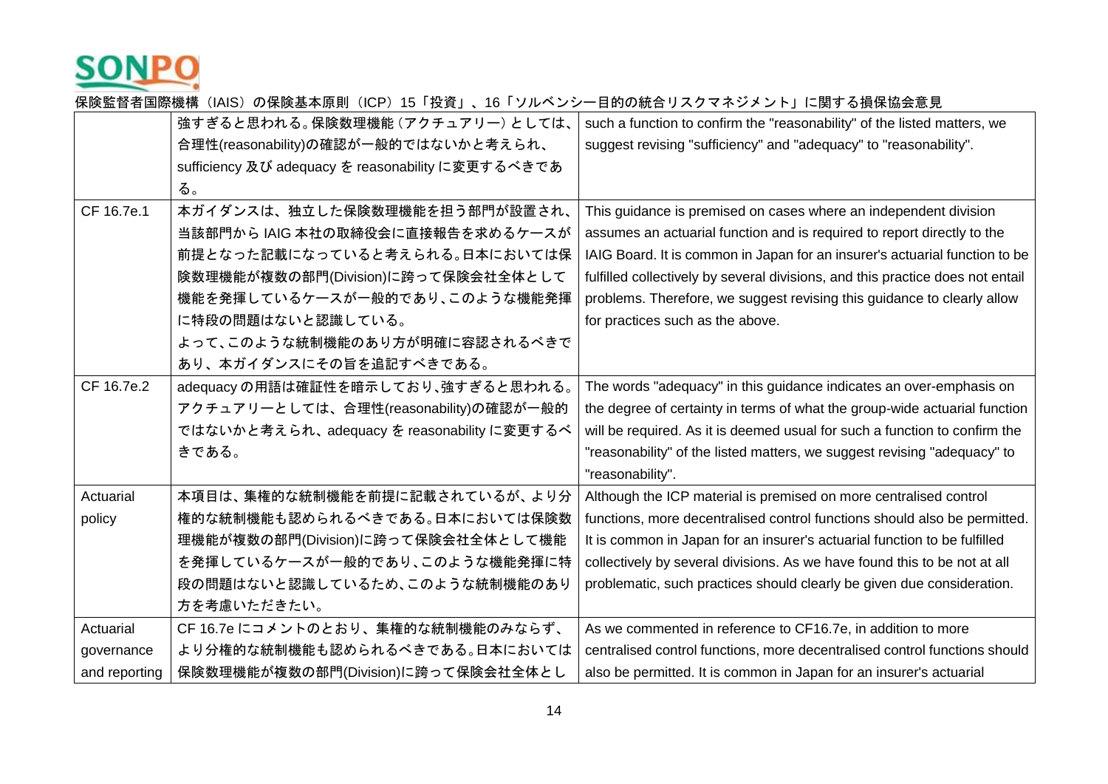

|               | 強すぎると思われる。保険数理機能 (アクチュアリー) としては、                  | such a function to confirm the "reasonability" of the listed matters, we       |
|---------------|---------------------------------------------------|--------------------------------------------------------------------------------|
|               | 合理性(reasonability)の確認が一般的ではないかと考えられ、              | suggest revising "sufficiency" and "adequacy" to "reasonability".              |
|               | sufficiency 及び adequacy を reasonability に変更するべきであ |                                                                                |
|               | る。                                                |                                                                                |
| CF 16.7e.1    | 本ガイダンスは、独立した保険数理機能を担う部門が設置され、                     | This guidance is premised on cases where an independent division               |
|               | 当該部門から IAIG 本社の取締役会に直接報告を求めるケースが                  | assumes an actuarial function and is required to report directly to the        |
|               | 前提となった記載になっていると考えられる。日本においては保                     | IAIG Board. It is common in Japan for an insurer's actuarial function to be    |
|               | 険数理機能が複数の部門(Division)に跨って保険会社全体として                | fulfilled collectively by several divisions, and this practice does not entail |
|               | 機能を発揮しているケースが一般的であり、このような機能発揮                     | problems. Therefore, we suggest revising this guidance to clearly allow        |
|               | に特段の問題はないと認識している。                                 | for practices such as the above.                                               |
|               | よって、このような統制機能のあり方が明確に容認されるべきで                     |                                                                                |
|               | あり、本ガイダンスにその旨を追記すべきである。                           |                                                                                |
| CF 16.7e.2    | adequacyの用語は確証性を暗示しており、強すぎると思われる。                 | The words "adequacy" in this guidance indicates an over-emphasis on            |
|               | アクチュアリーとしては、合理性(reasonability)の確認が一般的             | the degree of certainty in terms of what the group-wide actuarial function     |
|               | ではないかと考えられ、adequacy を reasonability に変更するべ        | will be required. As it is deemed usual for such a function to confirm the     |
|               | きである。                                             | "reasonability" of the listed matters, we suggest revising "adequacy" to       |
|               |                                                   | "reasonability".                                                               |
| Actuarial     | 本項目は、集権的な統制機能を前提に記載されているが、より分                     | Although the ICP material is premised on more centralised control              |
| policy        | 権的な統制機能も認められるべきである。日本においては保険数                     | functions, more decentralised control functions should also be permitted.      |
|               | 理機能が複数の部門(Division)に跨って保険会社全体として機能                | It is common in Japan for an insurer's actuarial function to be fulfilled      |
|               | を発揮しているケースが一般的であり、このような機能発揮に特                     | collectively by several divisions. As we have found this to be not at all      |
|               | 段の問題はないと認識しているため、このような統制機能のあり                     | problematic, such practices should clearly be given due consideration.         |
|               | 方を考慮いただきたい。                                       |                                                                                |
| Actuarial     | CF 16.7e にコメントのとおり、集権的な統制機能のみならず、                 | As we commented in reference to CF16.7e, in addition to more                   |
| governance    | より分権的な統制機能も認められるべきである。日本においては                     | centralised control functions, more decentralised control functions should     |
| and reporting | 保険数理機能が複数の部門(Division)に跨って保険会社全体とし                | also be permitted. It is common in Japan for an insurer's actuarial            |